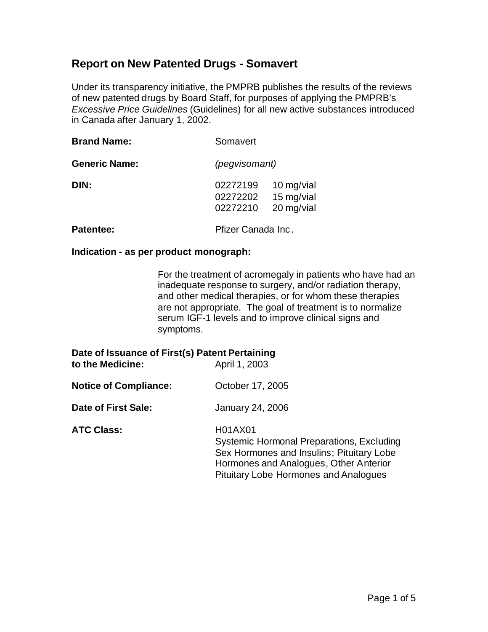# **Report on New Patented Drugs - Somavert**

Under its transparency initiative, the PMPRB publishes the results of the reviews of new patented drugs by Board Staff, for purposes of applying the PMPRB's *Excessive Price Guidelines* (Guidelines) for all new active substances introduced in Canada after January 1, 2002.

| <b>Brand Name:</b>   | Somavert                                                                   |
|----------------------|----------------------------------------------------------------------------|
| <b>Generic Name:</b> | (pegvisomant)                                                              |
| DIN:                 | 02272199<br>10 mg/vial<br>15 mg/vial<br>02272202<br>20 mg/vial<br>02272210 |
| Patentee:            | Pfizer Canada Inc.                                                         |

#### **Indication - as per product monograph:**

For the treatment of acromegaly in patients who have had an inadequate response to surgery, and/or radiation therapy, and other medical therapies, or for whom these therapies are not appropriate. The goal of treatment is to normalize serum IGF-1 levels and to improve clinical signs and symptoms.

| Date of Issuance of First(s) Patent Pertaining<br>to the Medicine: | April 1, 2003                                                                                                                                                                               |
|--------------------------------------------------------------------|---------------------------------------------------------------------------------------------------------------------------------------------------------------------------------------------|
| <b>Notice of Compliance:</b>                                       | October 17, 2005                                                                                                                                                                            |
| Date of First Sale:                                                | January 24, 2006                                                                                                                                                                            |
| <b>ATC Class:</b>                                                  | H01AX01<br>Systemic Hormonal Preparations, Excluding<br>Sex Hormones and Insulins; Pituitary Lobe<br>Hormones and Analogues, Other Anterior<br><b>Pituitary Lobe Hormones and Analogues</b> |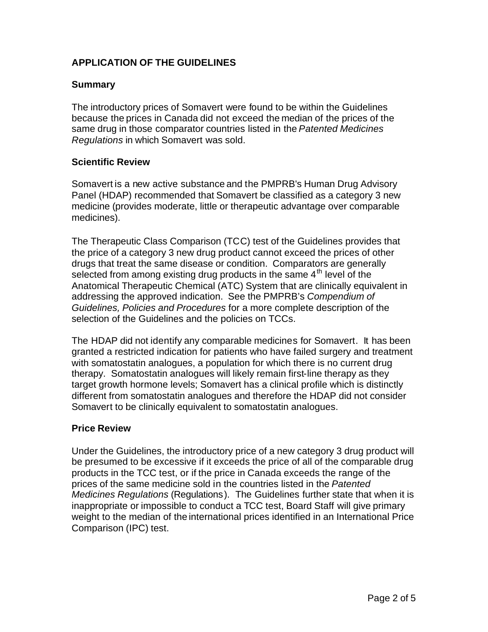# **APPLICATION OF THE GUIDELINES**

### **Summary**

The introductory prices of Somavert were found to be within the Guidelines because the prices in Canada did not exceed the median of the prices of the same drug in those comparator countries listed in the *Patented Medicines Regulations* in which Somavert was sold.

### **Scientific Review**

Somavert is a new active substance and the PMPRB's Human Drug Advisory Panel (HDAP) recommended that Somavert be classified as a category 3 new medicine (provides moderate, little or therapeutic advantage over comparable medicines).

The Therapeutic Class Comparison (TCC) test of the Guidelines provides that the price of a category 3 new drug product cannot exceed the prices of other drugs that treat the same disease or condition. Comparators are generally selected from among existing drug products in the same 4<sup>th</sup> level of the Anatomical Therapeutic Chemical (ATC) System that are clinically equivalent in addressing the approved indication. See the PMPRB's *Compendium of Guidelines, Policies and Procedures* for a more complete description of the selection of the Guidelines and the policies on TCCs.

The HDAP did not identify any comparable medicines for Somavert. It has been granted a restricted indication for patients who have failed surgery and treatment with somatostatin analogues, a population for which there is no current drug therapy. Somatostatin analogues will likely remain first-line therapy as they target growth hormone levels; Somavert has a clinical profile which is distinctly different from somatostatin analogues and therefore the HDAP did not consider Somavert to be clinically equivalent to somatostatin analogues.

### **Price Review**

Under the Guidelines, the introductory price of a new category 3 drug product will be presumed to be excessive if it exceeds the price of all of the comparable drug products in the TCC test, or if the price in Canada exceeds the range of the prices of the same medicine sold in the countries listed in the *Patented Medicines Regulations* (Regulations). The Guidelines further state that when it is inappropriate or impossible to conduct a TCC test, Board Staff will give primary weight to the median of the international prices identified in an International Price Comparison (IPC) test.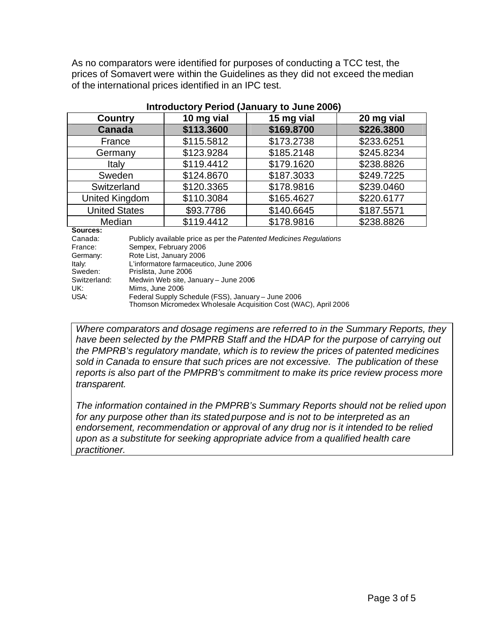As no comparators were identified for purposes of conducting a TCC test, the prices of Somavert were within the Guidelines as they did not exceed the median of the international prices identified in an IPC test.

| <b>Country</b>       | 10 mg vial | 15 mg vial | 20 mg vial |  |
|----------------------|------------|------------|------------|--|
| <b>Canada</b>        | \$113.3600 | \$169.8700 | \$226.3800 |  |
| France               | \$115.5812 | \$173.2738 | \$233.6251 |  |
| Germany              | \$123.9284 | \$185.2148 | \$245.8234 |  |
| Italy                | \$119.4412 | \$179.1620 | \$238.8826 |  |
| Sweden               | \$124.8670 | \$187.3033 | \$249.7225 |  |
| Switzerland          | \$120.3365 | \$178.9816 | \$239.0460 |  |
| United Kingdom       | \$110.3084 | \$165.4627 | \$220.6177 |  |
| <b>United States</b> | \$93.7786  | \$140.6645 | \$187.5571 |  |
| Median               | \$119.4412 | \$178.9816 | \$238.8826 |  |

#### **Introductory Period (January to June 2006)**

**Sources:** 

| Canada:      | Publicly available price as per the Patented Medicines Regulations |
|--------------|--------------------------------------------------------------------|
| France:      | Sempex, February 2006                                              |
| Germany:     | Rote List, January 2006                                            |
| Italy.       | L'informatore farmaceutico, June 2006                              |
| Sweden:      | Prislista, June 2006                                               |
| Switzerland: | Medwin Web site, January - June 2006                               |
| UK:          | Mims, June 2006                                                    |
| USA:         | Federal Supply Schedule (FSS), January - June 2006                 |
|              | Thomson Micromedex Wholesale Acquisition Cost (WAC), April 2006    |

*Where comparators and dosage regimens are referred to in the Summary Reports, they have been selected by the PMPRB Staff and the HDAP for the purpose of carrying out the PMPRB's regulatory mandate, which is to review the prices of patented medicines sold in Canada to ensure that such prices are not excessive. The publication of these reports is also part of the PMPRB's commitment to make its price review process more transparent.*

*The information contained in the PMPRB's Summary Reports should not be relied upon for any purpose other than its stated purpose and is not to be interpreted as an endorsement, recommendation or approval of any drug nor is it intended to be relied upon as a substitute for seeking appropriate advice from a qualified health care practitioner.*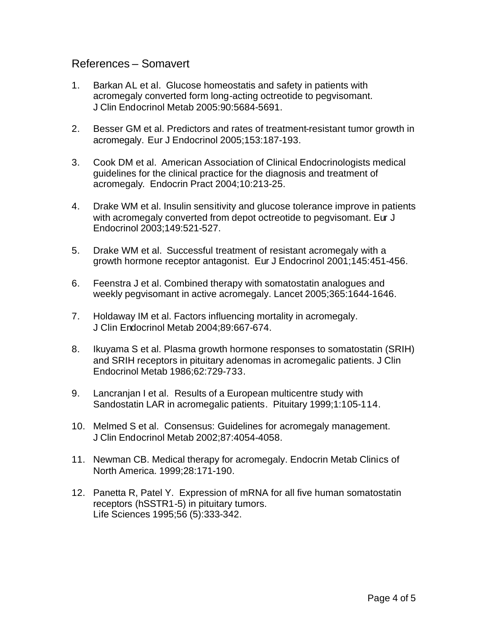## References – Somavert

- 1. Barkan AL et al. Glucose homeostatis and safety in patients with acromegaly converted form long-acting octreotide to pegvisomant. J Clin Endocrinol Metab 2005:90:5684-5691.
- 2. Besser GM et al. Predictors and rates of treatment-resistant tumor growth in acromegaly. Eur J Endocrinol 2005;153:187-193.
- 3. Cook DM et al. American Association of Clinical Endocrinologists medical guidelines for the clinical practice for the diagnosis and treatment of acromegaly. Endocrin Pract 2004;10:213-25.
- 4. Drake WM et al. Insulin sensitivity and glucose tolerance improve in patients with acromegaly converted from depot octreotide to pegvisomant. Eur J Endocrinol 2003;149:521-527.
- 5. Drake WM et al. Successful treatment of resistant acromegaly with a growth hormone receptor antagonist. Eur J Endocrinol 2001;145:451-456.
- 6. Feenstra J et al. Combined therapy with somatostatin analogues and weekly pegvisomant in active acromegaly. Lancet 2005;365:1644-1646.
- 7. Holdaway IM et al. Factors influencing mortality in acromegaly. J Clin Endocrinol Metab 2004;89:667-674.
- 8. Ikuyama S et al. Plasma growth hormone responses to somatostatin (SRIH) and SRIH receptors in pituitary adenomas in acromegalic patients. J Clin Endocrinol Metab 1986;62:729-733.
- 9. Lancranjan I et al. Results of a European multicentre study with Sandostatin LAR in acromegalic patients. Pituitary 1999;1:105-114.
- 10. Melmed S et al. Consensus: Guidelines for acromegaly management. J Clin Endocrinol Metab 2002;87:4054-4058.
- 11. Newman CB. Medical therapy for acromegaly. Endocrin Metab Clinics of North America. 1999;28:171-190.
- 12. Panetta R, Patel Y. Expression of mRNA for all five human somatostatin receptors (hSSTR1-5) in pituitary tumors. Life Sciences 1995;56 (5):333-342.